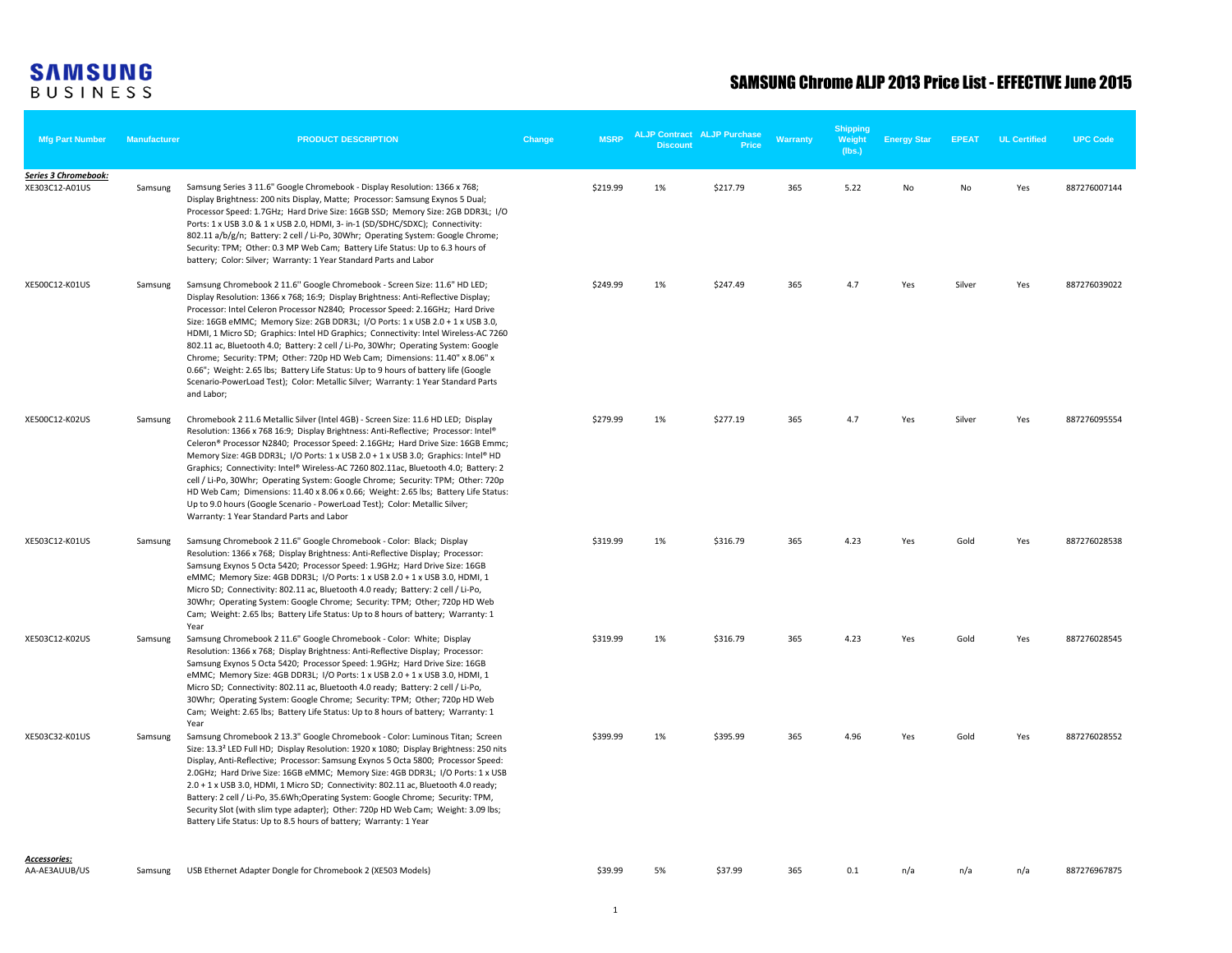## **SAMSUNG**<br>BUSINESS

## SAMSUNG Chrome ALJP 2013 Price List - EFFECTIVE June 2015

| <b>Mfg Part Number</b>                 | <b>Manufacturer</b> | <b>PRODUCT DESCRIPTION</b>                                                                                                                                                                                                                                                                                                                                                                                                                                                                                                                                                                                                                                                                                                                                                                | Change | <b>MSRP</b> | <b>Discount</b> | <b>ALJP Contract ALJP Purchase</b><br><b>Price</b> | Warranty | <b>Shipping</b><br>Weight<br>(lbs.) | <b>Energy Star</b> | <b>EPEAT</b> | <b>UL Certified</b> | <b>UPC Code</b> |
|----------------------------------------|---------------------|-------------------------------------------------------------------------------------------------------------------------------------------------------------------------------------------------------------------------------------------------------------------------------------------------------------------------------------------------------------------------------------------------------------------------------------------------------------------------------------------------------------------------------------------------------------------------------------------------------------------------------------------------------------------------------------------------------------------------------------------------------------------------------------------|--------|-------------|-----------------|----------------------------------------------------|----------|-------------------------------------|--------------------|--------------|---------------------|-----------------|
| Series 3 Chromebook:<br>XE303C12-A01US | Samsung             | Samsung Series 3 11.6" Google Chromebook - Display Resolution: 1366 x 768;<br>Display Brightness: 200 nits Display, Matte; Processor: Samsung Exynos 5 Dual;<br>Processor Speed: 1.7GHz; Hard Drive Size: 16GB SSD; Memory Size: 2GB DDR3L; I/O<br>Ports: 1 x USB 3.0 & 1 x USB 2.0, HDMI, 3- in-1 (SD/SDHC/SDXC); Connectivity:<br>802.11 a/b/g/n; Battery: 2 cell / Li-Po, 30Whr; Operating System: Google Chrome;<br>Security: TPM; Other: 0.3 MP Web Cam; Battery Life Status: Up to 6.3 hours of<br>battery; Color: Silver; Warranty: 1 Year Standard Parts and Labor                                                                                                                                                                                                                |        | \$219.99    | 1%              | \$217.79                                           | 365      | 5.22                                | No                 | No           | Yes                 | 887276007144    |
| XE500C12-K01US                         | Samsung             | Samsung Chromebook 2 11.6" Google Chromebook - Screen Size: 11.6" HD LED;<br>Display Resolution: 1366 x 768; 16:9; Display Brightness: Anti-Reflective Display;<br>Processor: Intel Celeron Processor N2840; Processor Speed: 2.16GHz; Hard Drive<br>Size: 16GB eMMC; Memory Size: 2GB DDR3L; I/O Ports: 1 x USB 2.0 + 1 x USB 3.0,<br>HDMI, 1 Micro SD; Graphics: Intel HD Graphics; Connectivity: Intel Wireless-AC 7260<br>802.11 ac, Bluetooth 4.0; Battery: 2 cell / Li-Po, 30Whr; Operating System: Google<br>Chrome; Security: TPM; Other: 720p HD Web Cam; Dimensions: 11.40" x 8.06" x<br>0.66"; Weight: 2.65 lbs; Battery Life Status: Up to 9 hours of battery life (Google<br>Scenario-PowerLoad Test); Color: Metallic Silver; Warranty: 1 Year Standard Parts<br>and Labor; |        | \$249.99    | 1%              | \$247.49                                           | 365      | 4.7                                 | Yes                | Silver       | Yes                 | 887276039022    |
| XE500C12-K02US                         | Samsung             | Chromebook 2 11.6 Metallic Silver (Intel 4GB) - Screen Size: 11.6 HD LED; Display<br>Resolution: 1366 x 768 16:9; Display Brightness: Anti-Reflective; Processor: Intel®<br>Celeron® Processor N2840; Processor Speed: 2.16GHz; Hard Drive Size: 16GB Emmc;<br>Memory Size: 4GB DDR3L; I/O Ports: 1 x USB 2.0 + 1 x USB 3.0; Graphics: Intel® HD<br>Graphics; Connectivity: Intel® Wireless-AC 7260 802.11ac, Bluetooth 4.0; Battery: 2<br>cell / Li-Po, 30Whr; Operating System: Google Chrome; Security: TPM; Other: 720p<br>HD Web Cam; Dimensions: 11.40 x 8.06 x 0.66; Weight: 2.65 lbs; Battery Life Status:<br>Up to 9.0 hours (Google Scenario - PowerLoad Test); Color: Metallic Silver;<br>Warranty: 1 Year Standard Parts and Labor                                            |        | \$279.99    | 1%              | \$277.19                                           | 365      | 4.7                                 | Yes                | Silver       | Yes                 | 887276095554    |
| XE503C12-K01US                         | Samsung             | Samsung Chromebook 2 11.6" Google Chromebook - Color: Black; Display<br>Resolution: 1366 x 768; Display Brightness: Anti-Reflective Display; Processor:<br>Samsung Exynos 5 Octa 5420; Processor Speed: 1.9GHz; Hard Drive Size: 16GB<br>eMMC; Memory Size: 4GB DDR3L; I/O Ports: 1 x USB 2.0 + 1 x USB 3.0, HDMI, 1<br>Micro SD; Connectivity: 802.11 ac, Bluetooth 4.0 ready; Battery: 2 cell / Li-Po,<br>30Whr; Operating System: Google Chrome; Security: TPM; Other; 720p HD Web<br>Cam; Weight: 2.65 lbs; Battery Life Status: Up to 8 hours of battery; Warranty: 1<br>Year                                                                                                                                                                                                        |        | \$319.99    | 1%              | \$316.79                                           | 365      | 4.23                                | Yes                | Gold         | Yes                 | 887276028538    |
| XE503C12-K02US                         | Samsung             | Samsung Chromebook 2 11.6" Google Chromebook - Color: White; Display<br>Resolution: 1366 x 768; Display Brightness: Anti-Reflective Display; Processor:<br>Samsung Exynos 5 Octa 5420; Processor Speed: 1.9GHz; Hard Drive Size: 16GB<br>eMMC; Memory Size: 4GB DDR3L; I/O Ports: 1 x USB 2.0 + 1 x USB 3.0, HDMI, 1<br>Micro SD; Connectivity: 802.11 ac, Bluetooth 4.0 ready; Battery: 2 cell / Li-Po,<br>30Whr; Operating System: Google Chrome; Security: TPM; Other; 720p HD Web<br>Cam; Weight: 2.65 lbs; Battery Life Status: Up to 8 hours of battery; Warranty: 1<br>Year                                                                                                                                                                                                        |        | \$319.99    | 1%              | \$316.79                                           | 365      | 4.23                                | Yes                | Gold         | Yes                 | 887276028545    |
| XE503C32-K01US                         | Samsung             | Samsung Chromebook 2 13.3" Google Chromebook - Color: Luminous Titan; Screen<br>Size: 13.3 <sup>2</sup> LED Full HD; Display Resolution: 1920 x 1080; Display Brightness: 250 nits<br>Display, Anti-Reflective; Processor: Samsung Exynos 5 Octa 5800; Processor Speed:<br>2.0GHz; Hard Drive Size: 16GB eMMC; Memory Size: 4GB DDR3L; I/O Ports: 1 x USB<br>2.0 + 1 x USB 3.0, HDMI, 1 Micro SD; Connectivity: 802.11 ac, Bluetooth 4.0 ready;<br>Battery: 2 cell / Li-Po, 35.6Wh;Operating System: Google Chrome; Security: TPM,<br>Security Slot (with slim type adapter); Other: 720p HD Web Cam; Weight: 3.09 lbs;<br>Battery Life Status: Up to 8.5 hours of battery; Warranty: 1 Year                                                                                              |        | \$399.99    | 1%              | \$395.99                                           | 365      | 4.96                                | Yes                | Gold         | Yes                 | 887276028552    |
| Accessories:<br>AA-AE3AUUB/US          | Samsung             | USB Ethernet Adapter Dongle for Chromebook 2 (XE503 Models)                                                                                                                                                                                                                                                                                                                                                                                                                                                                                                                                                                                                                                                                                                                               |        | \$39.99     | 5%              | \$37.99                                            | 365      | 0.1                                 | n/a                | n/a          | n/a                 | 887276967875    |